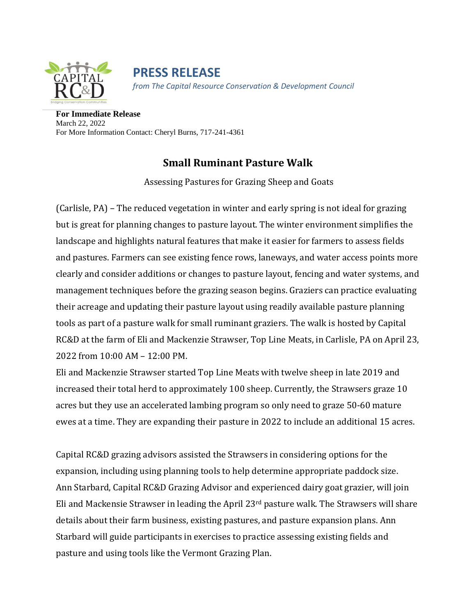

**PRESS RELEASE** *from The Capital Resource Conservation & Development Council*

**For Immediate Release** March 22, 2022 For More Information Contact: Cheryl Burns, 717-241-4361

## **Small Ruminant Pasture Walk**

Assessing Pastures for Grazing Sheep and Goats

(Carlisle, PA) – The reduced vegetation in winter and early spring is not ideal for grazing but is great for planning changes to pasture layout. The winter environment simplifies the landscape and highlights natural features that make it easier for farmers to assess fields and pastures. Farmers can see existing fence rows, laneways, and water access points more clearly and consider additions or changes to pasture layout, fencing and water systems, and management techniques before the grazing season begins. Graziers can practice evaluating their acreage and updating their pasture layout using readily available pasture planning tools as part of a pasture walk for small ruminant graziers. The walk is hosted by Capital RC&D at the farm of Eli and Mackenzie Strawser, Top Line Meats, in Carlisle, PA on April 23, 2022 from 10:00 AM – 12:00 PM.

Eli and Mackenzie Strawser started Top Line Meats with twelve sheep in late 2019 and increased their total herd to approximately 100 sheep. Currently, the Strawsers graze 10 acres but they use an accelerated lambing program so only need to graze 50-60 mature ewes at a time. They are expanding their pasture in 2022 to include an additional 15 acres.

Capital RC&D grazing advisors assisted the Strawsers in considering options for the expansion, including using planning tools to help determine appropriate paddock size. Ann Starbard, Capital RC&D Grazing Advisor and experienced dairy goat grazier, will join Eli and Mackensie Strawser in leading the April 23rd pasture walk. The Strawsers will share details about their farm business, existing pastures, and pasture expansion plans. Ann Starbard will guide participants in exercises to practice assessing existing fields and pasture and using tools like the Vermont Grazing Plan.